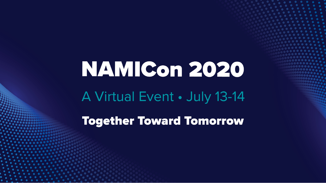## NAMICon 2020 A Virtual Event · July 13-14

**Together Toward Tomorrow**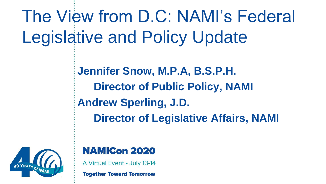The View from D.C: NAMI's Federal Legislative and Policy Update

> **Jennifer Snow, M.P.A, B.S.P.H. Director of Public Policy, NAMI Andrew Sperling, J.D. Director of Legislative Affairs, NAMI**



#### **NAMICon 2020**

A Virtual Event • July 13-14

**Together Toward Tomorrow**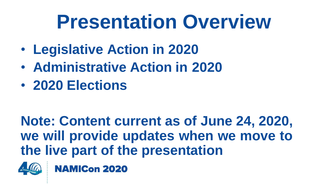### **Presentation Overview**

- **Legislative Action in 2020**
- **Administrative Action in 2020**
- **2020 Elections**

#### **Note: Content current as of June 24, 2020, we will provide updates when we move to the live part of the presentation**



**NAMICon 2020**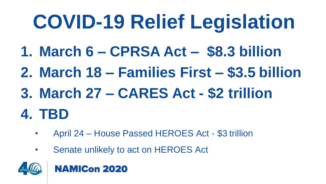## **COVID-19 Relief Legislation**

- **1. March 6 – CPRSA Act – \$8.3 billion**
- **2. March 18 – Families First – \$3.5 billion**
- **3. March 27 – CARES Act - \$2 trillion**

#### **4. TBD**

- April 24 House Passed HEROES Act \$3 trillion
- Senate unlikely to act on HEROES Act



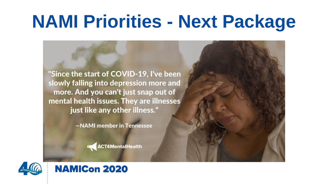#### **NAMI Priorities - Next Package**

"Since the start of COVID-19, I've been slowly falling into depression more and more. And you can't just snap out of mental health issues. They are illnesses just like any other illness."

-NAMI member in Tennessee

**ACT4MentalHealth** 



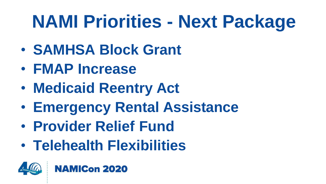### **NAMI Priorities - Next Package**

- **SAMHSA Block Grant**
- **FMAP Increase**
- **Medicaid Reentry Act**
- **Emergency Rental Assistance**
- **Provider Relief Fund**

**NAMICon 2020** 

• **Telehealth Flexibilities**

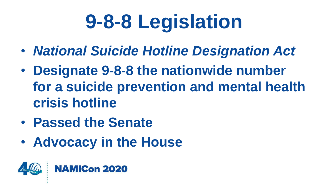## **9-8-8 Legislation**

- *National Suicide Hotline Designation Act*
- **Designate 9-8-8 the nationwide number for a suicide prevention and mental health crisis hotline**
- **Passed the Senate**
- **Advocacy in the House**

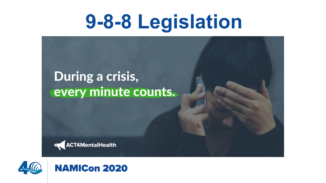## **9-8-8 Legislation**

#### During a crisis, every minute counts.





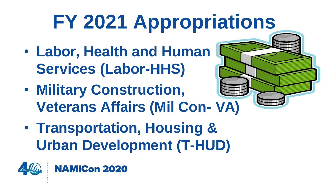## **FY 2021 Appropriations**

- **Labor, Health and Human Services (Labor-HHS)**
- **Veterans Affairs (Mil Con- VA)** • **Military Construction,**



• **Transportation, Housing & Urban Development (T-HUD)**

**NAMICon 2020** 

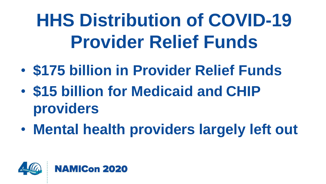## **HHS Distribution of COVID-19 Provider Relief Funds**

- **\$175 billion in Provider Relief Funds**
- **\$15 billion for Medicaid and CHIP providers**
- **Mental health providers largely left out**

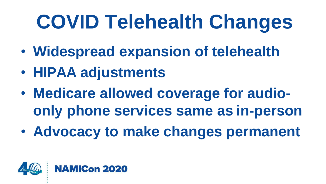## **COVID Telehealth Changes**

- **Widespread expansion of telehealth**
- **HIPAA adjustments**
- **Medicare allowed coverage for audioonly phone services same as in-person**
- **Advocacy to make changes permanent**

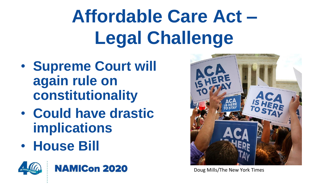## **Affordable Care Act – Legal Challenge**

- **Supreme Court will again rule on constitutionality**
- **Could have drastic implications**
- **House Bill**







Doug Mills/The New York Times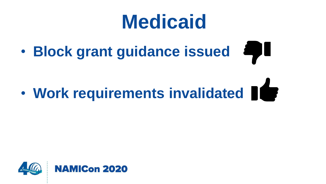### **Medicaid**

• **Block grant guidance issued**

# • **Work requirements invalidated**

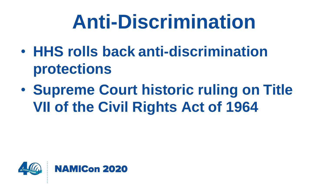## **Anti-Discrimination**

- **HHS rolls back anti-discrimination protections**
- **Supreme Court historic ruling on Title VII of the Civil Rights Act of 1964**

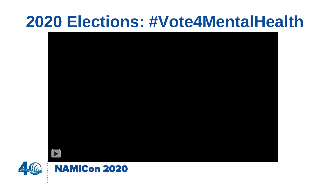#### **2020 Elections: #Vote4MentalHealth**





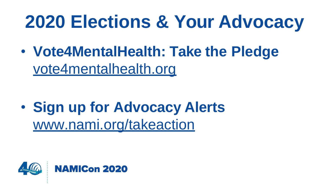### **2020 Elections & Your Advocacy**

• **Vote4MentalHealth: Take the Pledge** vote4mentalhealth.org

• **Sign up for Advocacy Alerts** [www.nami.org/takeaction](http://www.nami.org/takeaction)